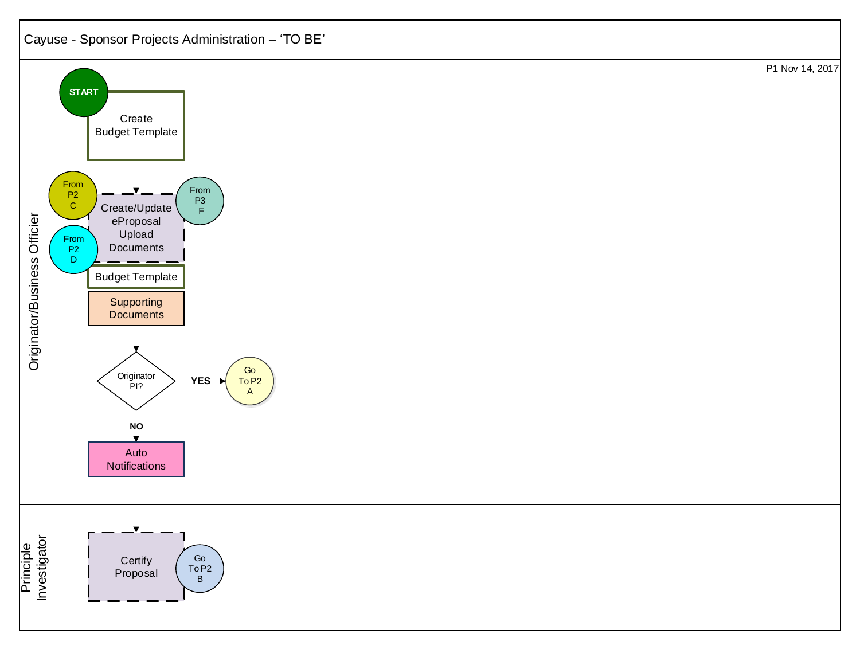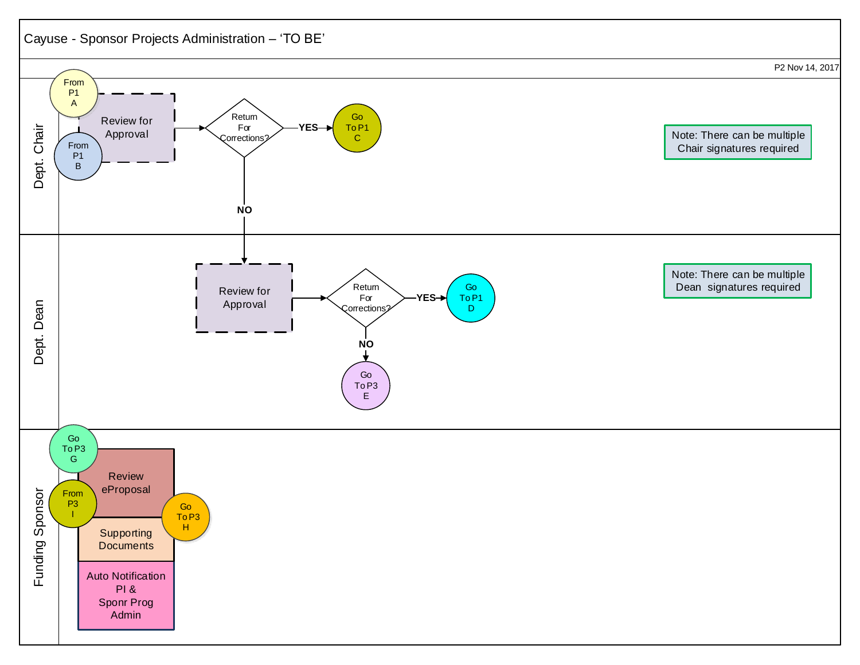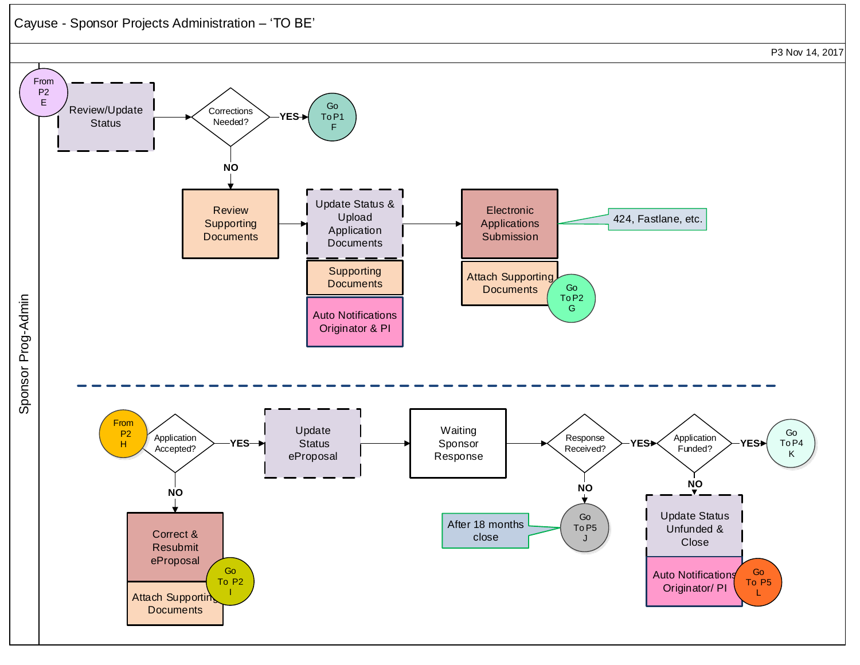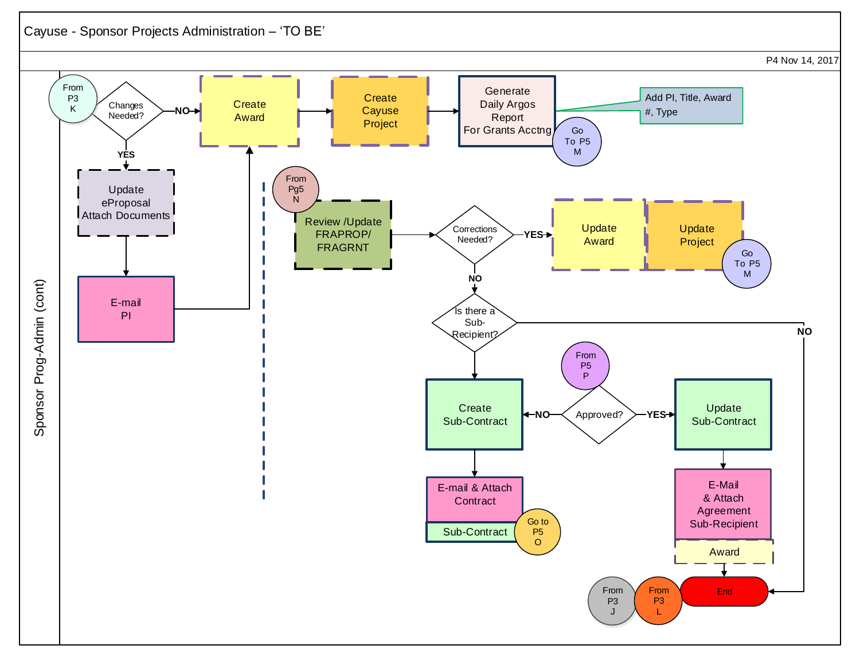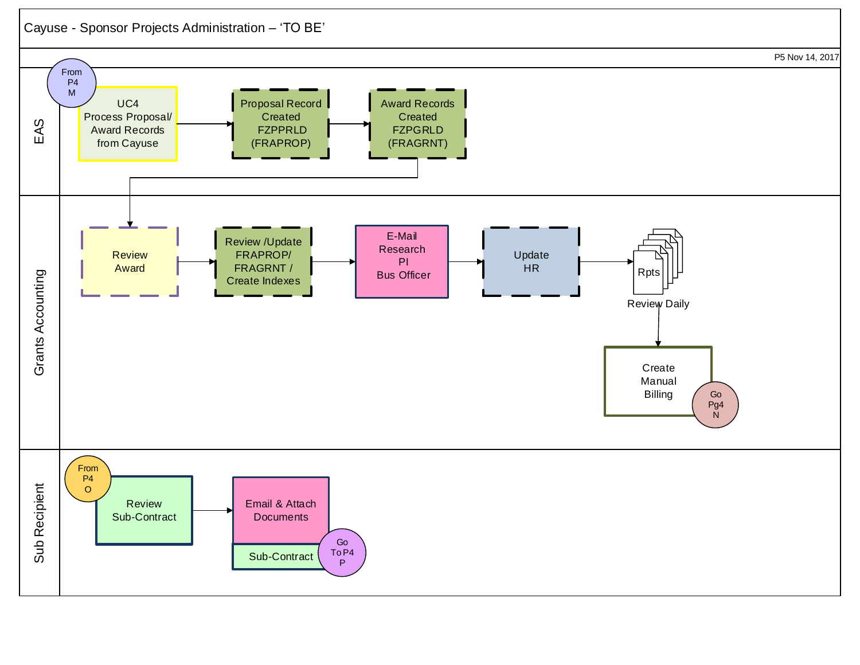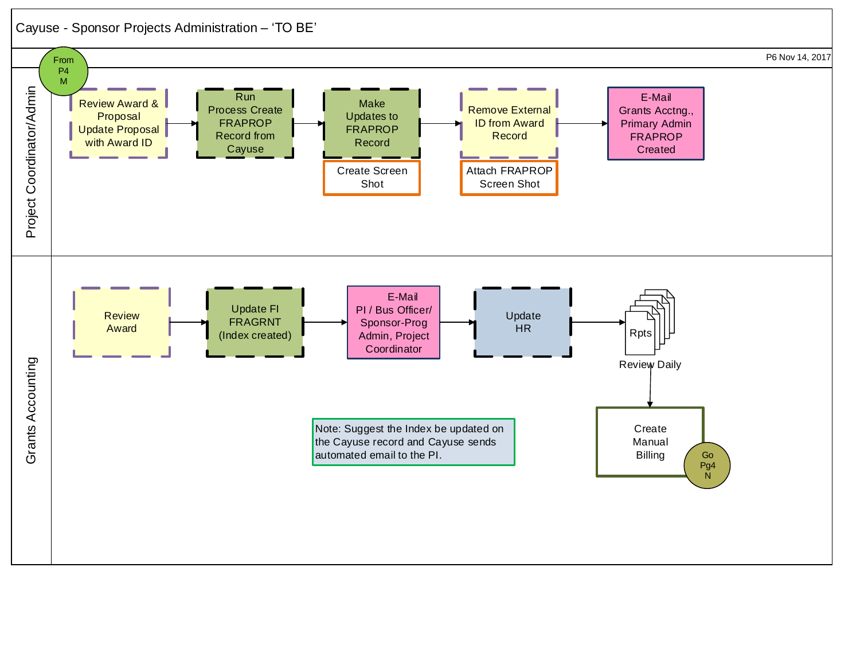